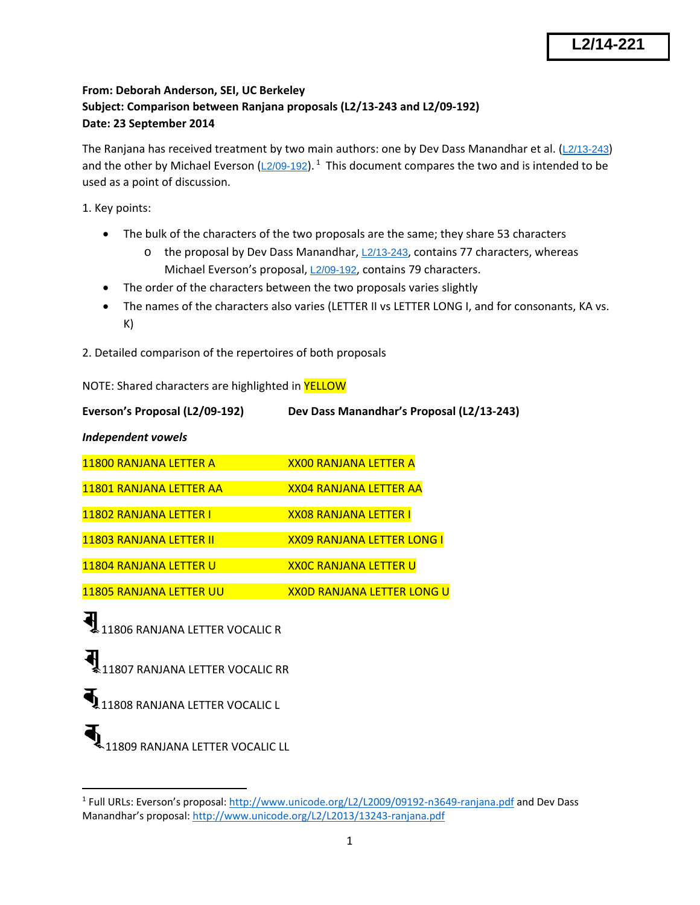## **From: Deborah Anderson, SEI, UC Berkeley Subject: Comparison between Ranjana proposals (L2/13‐243 and L2/09‐192) Date: 23 September 2014**

The Ranjana has received treatment by two main authors: one by Dev Dass Manandhar et al. (L2/13-243) and the other by Michael Everson ( $2/09-192$ ). <sup>1</sup> This document compares the two and is intended to be used as a point of discussion.

1. Key points:

- The bulk of the characters of the two proposals are the same; they share 53 characters
	- o the proposal by Dev Dass Manandhar, L2/13-243, contains 77 characters, whereas Michael Everson's proposal, L2/09-192, contains 79 characters.
- The order of the characters between the two proposals varies slightly
- The names of the characters also varies (LETTER II vs LETTER LONG I, and for consonants, KA vs. K)

2. Detailed comparison of the repertoires of both proposals

NOTE: Shared characters are highlighted in YELLOW

| Everson's Proposal (L2/09-192) | Dev Dass Manandhar's Proposal (L2/13-243) |
|--------------------------------|-------------------------------------------|
|--------------------------------|-------------------------------------------|

*Independent vowels*

| <b>XX00 RANJANA LETTER A</b>      |
|-----------------------------------|
| XX04 RANJANA LETTER AA            |
| <b>XXO8 RANJANA LETTER I</b>      |
| <b>XX09 RANJANA LETTER LONG I</b> |
| <b>XXOC RANJANA LETTER U</b>      |
| <b>XXOD RANJANA LETTER LONG U</b> |
|                                   |

11806 RANJANA LETTER VOCALIC R

11807 RANJANA LETTER VOCALIC RR

 $\P_{\text{11808}}$  RANJANA LETTER VOCALIC L

11809 RANJANA LETTER VOCALIC LL

<sup>1</sup> Full URLs: Everson's proposal: http://www.unicode.org/L2/L2009/09192‐n3649‐ranjana.pdf and Dev Dass Manandhar's proposal: http://www.unicode.org/L2/L2013/13243‐ranjana.pdf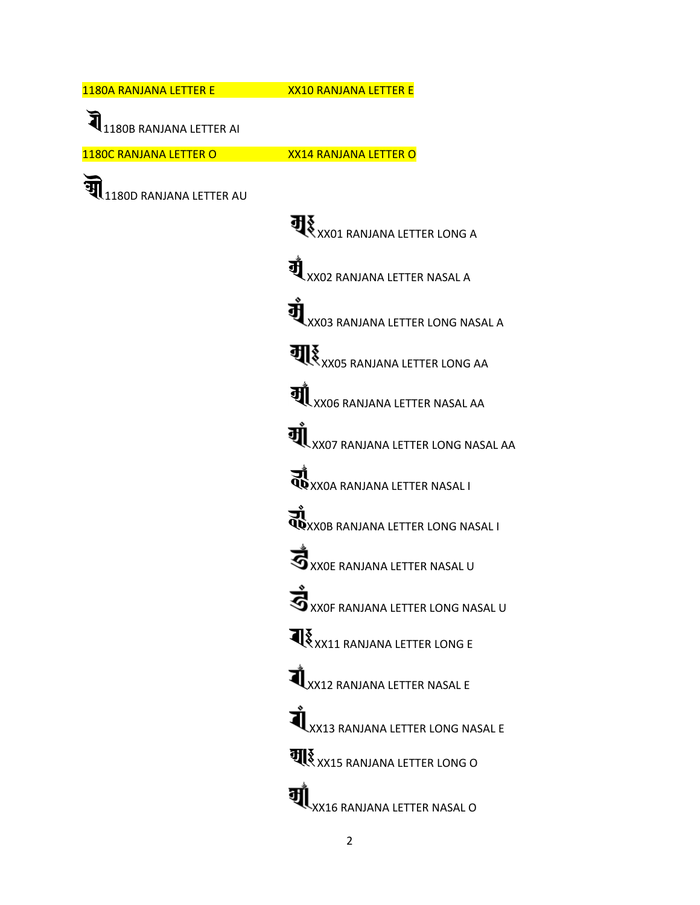1180A RANJANA LETTER E XX10 RANJANA LETTER E

1180B RANJANA LETTER AI

1180C RANJANA LETTER O XX14 RANJANA LETTER O

1180D RANJANA LETTER AU

XX01 RANJANA LETTER LONG A XX02 RANJANA LETTER NASAL A XX03 RANJANA LETTER LONG NASAL A XX05 RANJANA LETTER LONG AA **VI XX06 RANJANA LETTER NASAL AA** XX07 RANJANA LETTER LONG NASAL AA **ZI<br>QO** XX0A RANJANA LETTER NASAL I XX<sub>0B</sub> RANJANA LETTER LONG NASAL I  $\overrightarrow{\mathbf{3}}$  xx0E RANJANA LETTER NASAL U XX0F RANJANA LETTER LONG NASAL U XX11 RANJANA LETTER LONG E XX12 RANJANA LETTER NASAL E  $\mathbf{\dot{M}}_{\rm{XX13 \, RANJANA \, LETTER \, LONG \, NASA \, E}}$ XX15 RANJANA LETTER LONG O ग्रौ XX16 RANJANA LETTER NASAL O2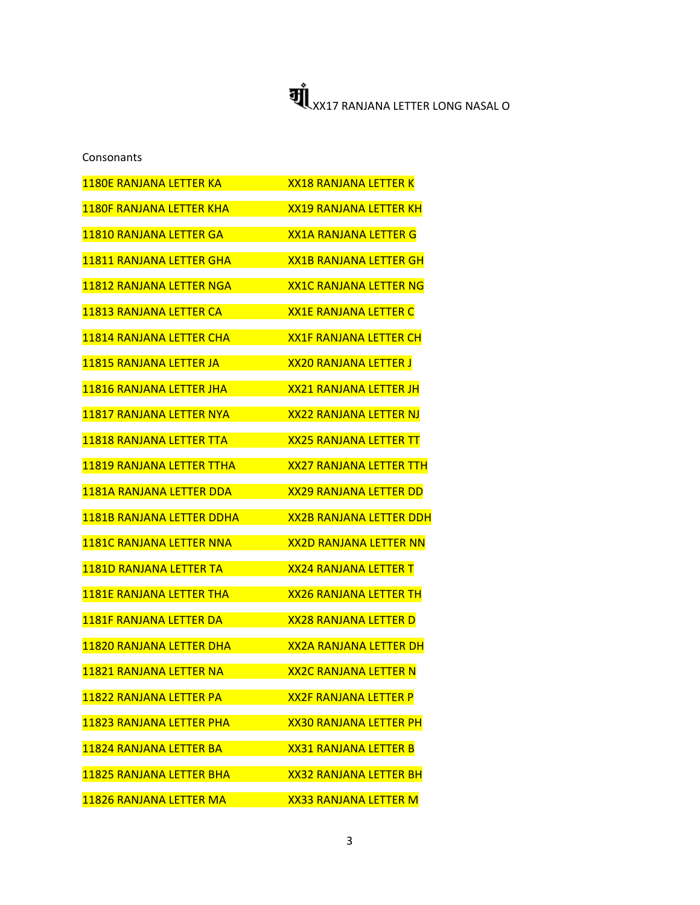| Consonants |  |
|------------|--|
|------------|--|

| <b>1180E RANJANA LETTER KA</b>   | <b>XX18 RANJANA LETTER K</b>   |
|----------------------------------|--------------------------------|
| <b>1180F RANJANA LETTER KHA</b>  | <b>XX19 RANJANA LETTER KH</b>  |
| <b>11810 RANJANA LETTER GA</b>   | <b>XX1A RANJANA LETTER G</b>   |
| <b>11811 RANJANA LETTER GHA</b>  | <b>XX1B RANJANA LETTER GH</b>  |
| 11812 RANJANA LETTER NGA         | <b>XX1C RANJANA LETTER NG</b>  |
| 11813 RANJANA LETTER CA          | <b>XX1E RANJANA LETTER C</b>   |
| <b>11814 RANJANA LETTER CHA</b>  | <b>XX1F RANJANA LETTER CH</b>  |
| <b>11815 RANJANA LETTER JA</b>   | <b>XX20 RANJANA LETTER J</b>   |
| 11816 RANJANA LETTER JHA         | <b>XX21 RANJANA LETTER JH</b>  |
| <b>11817 RANJANA LETTER NYA</b>  | <b>XX22 RANJANA LETTER NJ</b>  |
| 11818 RANJANA LETTER TTA         | <b>XX25 RANJANA LETTER TT</b>  |
| <b>11819 RANJANA LETTER TTHA</b> | <b>XX27 RANJANA LETTER TTH</b> |
| <b>1181A RANJANA LETTER DDA</b>  | <b>XX29 RANJANA LETTER DD</b>  |
| <b>1181B RANJANA LETTER DDHA</b> | <b>XX2B RANJANA LETTER DDH</b> |
| <b>1181C RANJANA LETTER NNA</b>  | <b>XX2D RANJANA LETTER NN</b>  |
| <b>1181D RANJANA LETTER TA</b>   | <b>XX24 RANJANA LETTER T</b>   |
| <b>1181E RANJANA LETTER THA</b>  | <b>XX26 RANJANA LETTER TH</b>  |
| <b>1181F RANJANA LETTER DA</b>   | <b>XX28 RANJANA LETTER D</b>   |
| 11820 RANJANA LFTTFR DHA         | <b>XX2A RANJANA LETTER DH</b>  |
| <u>11821 RANJANA LFTTFR NA</u>   | <b>XX2C RANJANA LETTER N</b>   |
| 11822 RANJANA LETTER PA          | <b>XX2F RANJANA LETTER P</b>   |
| 11823 RANJANA LETTER PHA         | <b>XX30 RANJANA LETTER PH</b>  |
| 11824 RANJANA LETTER BA          | <b>XX31 RANJANA LETTER B</b>   |
| <b>11825 RANJANA LETTER BHA</b>  | <b>XX32 RANJANA LETTER BH</b>  |
| 11826 RANJANA LETTER MA          | <b>XX33 RANJANA LETTER M</b>   |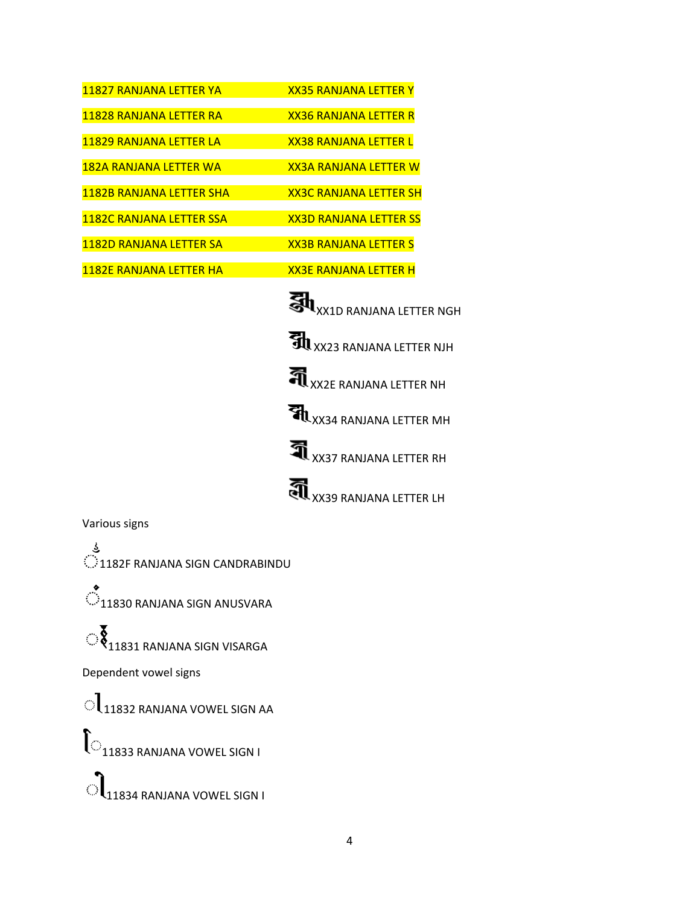| 11827 RANJANA LETTER YA         | <b>XX35 RANJANA LETTER Y</b>                              |
|---------------------------------|-----------------------------------------------------------|
| 11828 RANJANA LFTTFR RA         | <b>XX36 RANJANA LETTER R</b>                              |
| 11829 RANJANA LETTER LA         | <b>XX38 RANJANA LETTER L</b>                              |
| <u>182A RANJANA LETTER WA</u>   | <b>XX3A RANJANA LETTER W</b>                              |
| <u>1182B RANJANA LETTER SHA</u> | <b>XX3C RANJANA LETTER SH</b>                             |
| <b>1182C RANJANA LETTER SSA</b> | <b>XX3D RANJANA LETTER SS</b>                             |
| <b>1182D RANJANA LETTER SA</b>  | <b>XX3B RANJANA LETTER S</b>                              |
| <b>1182E RANJANA LETTER HA</b>  | <b>XX3E RANJANA LETTER H</b>                              |
|                                 | <b>Stude RANJANA LETTER NGH</b>                           |
|                                 | $\mathbf{\widetilde{M}}\text{_{XX23}}$ ranjana letter njh |
|                                 | $\widehat{\P}$ xx2E RANJANA LETTER NH                     |
|                                 | <b>TIL XX34 RANJANA LETTER MH</b>                         |

XX37 RANJANA LETTER RH

XX39 RANJANA LETTER LH

Various signs

لى<br>1182F RANJANA SIGN CANDRABINDU

 $\mathcal{L}_{\text{11830}}$  RANJANA SIGN ANUSVARA

 $\mathbb{R}_{\text{11831}}^{\blacktriangledown}$ ranjana sign visarga

Dependent vowel signs

 $\mathrm{d}_{\text{11832}}$  RANJANA VOWEL SIGN AA

 $\int_{-11833}$  RANJANA VOWEL SIGN I

 $\bigcirc$   $\bigcirc$   $\bigcirc$   $\bigcirc$   $\bigcirc$   $\bigcirc$   $\bigcirc$   $\bigcirc$   $\bigcirc$   $\bigcirc$   $\bigcirc$   $\bigcirc$   $\bigcirc$   $\bigcirc$   $\bigcirc$   $\bigcirc$   $\bigcirc$   $\bigcirc$   $\bigcirc$   $\bigcirc$   $\bigcirc$   $\bigcirc$   $\bigcirc$   $\bigcirc$   $\bigcirc$   $\bigcirc$   $\bigcirc$   $\bigcirc$   $\bigcirc$   $\bigcirc$   $\bigcirc$   $\bigcirc$   $\bigcirc$   $\bigcirc$   $\bigcirc$   $\bigcirc$   $\bigcirc$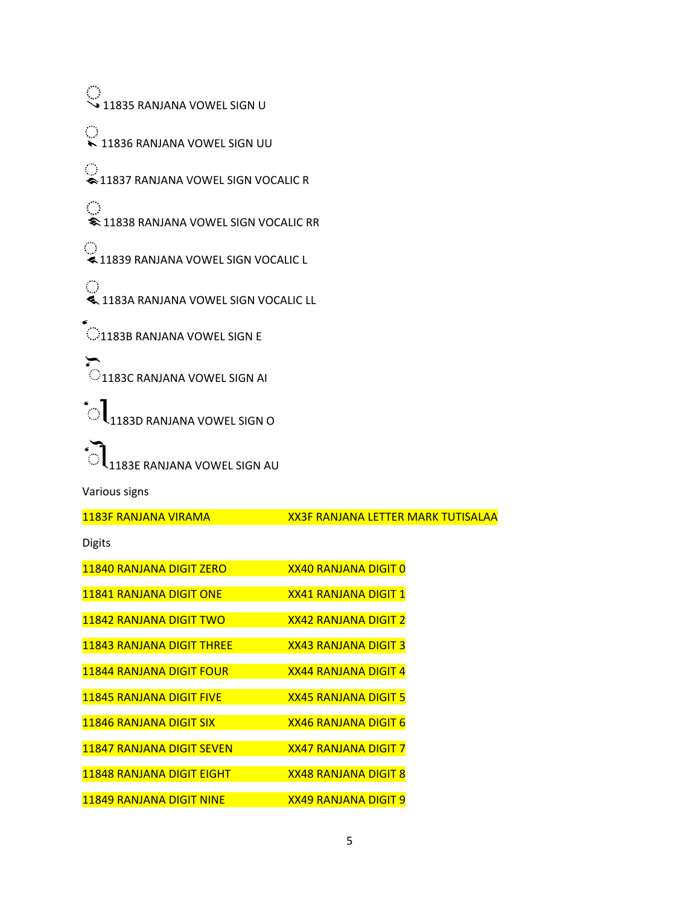| O<br>11835 RANJANA VOWEL SIGN U                             |                                           |  |
|-------------------------------------------------------------|-------------------------------------------|--|
| ्<br>11836 RANJANA VOWEL SIGN UU                            |                                           |  |
| ◯<br>◆11837 RANJANA VOWEL SIGN VOCALIC R                    |                                           |  |
| ◯<br>\$11838 RANJANA VOWEL SIGN VOCALIC RR                  |                                           |  |
| ○<br>◆ 11839 RANJANA VOWEL SIGN VOCALIC L                   |                                           |  |
| 2<br>4.1183A RANJANA VOWEL SIGN VOCALIC LL                  |                                           |  |
| <b>1183B RANJANA VOWEL SIGN E</b>                           |                                           |  |
| 1183C RANJANA VOWEL SIGN AI                                 |                                           |  |
| $\left\lceil \bigcup_{1183\mathsf{D}}$ RANJANA VOWEL SIGN O |                                           |  |
| 1183E RANJANA VOWEL SIGN AU                                 |                                           |  |
|                                                             |                                           |  |
| Various signs                                               |                                           |  |
| 1183F RANJANA VIRAMA                                        | <b>XX3F RANJANA LETTER MARK TUTISALAA</b> |  |
| <b>Digits</b>                                               |                                           |  |
| 11840 RANJANA DIGIT ZERO                                    | <b>XX40 RANJANA DIGIT 0</b>               |  |
| 11841 RANJANA DIGIT ONE                                     | <b>XX41 RANJANA DIGIT 1</b>               |  |
| 11842 RANJANA DIGIT TWO                                     | <b>XX42 RANJANA DIGIT 2</b>               |  |
| <b>11843 RANJANA DIGIT THREE</b>                            | <b>XX43 RANJANA DIGIT 3</b>               |  |
| 11844 RANJANA DIGIT FOUR                                    | <b>XX44 RANJANA DIGIT 4</b>               |  |
| 11845 RANJANA DIGIT FIVE                                    | <b>XX45 RANJANA DIGIT 5</b>               |  |
| 11846 RANJANA DIGIT SIX                                     | <b>XX46 RANJANA DIGIT 6</b>               |  |
| 11847 RANJANA DIGIT SEVEN                                   | <b>XX47 RANJANA DIGIT 7</b>               |  |
| 11848 RANJANA DIGIT EIGHT                                   | <b>XX48 RANJANA DIGIT 8</b>               |  |
| 11849 RANJANA DIGIT NINE                                    | <b>XX49 RANJANA DIGIT 9</b>               |  |
|                                                             |                                           |  |